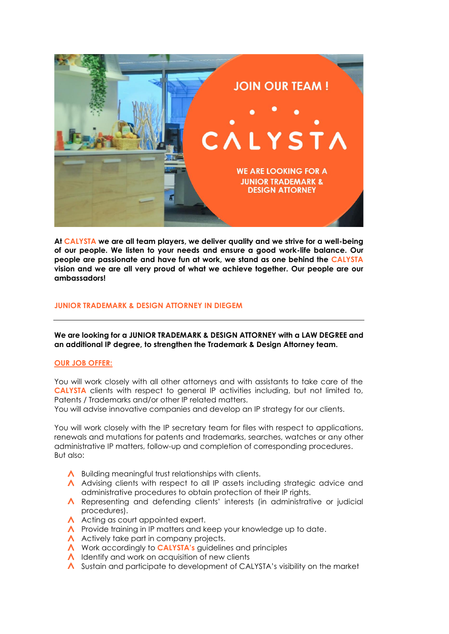

**At CALYSTA we are all team players, we deliver quality and we strive for a well-being of our people. We listen to your needs and ensure a good work-life balance. Our people are passionate and have fun at work, we stand as one behind the CALYSTA vision and we are all very proud of what we achieve together. Our people are our ambassadors!**

## **JUNIOR TRADEMARK & DESIGN ATTORNEY IN DIEGEM**

## **We are looking for a JUNIOR TRADEMARK & DESIGN ATTORNEY with a LAW DEGREE and an additional IP degree, to strengthen the Trademark & Design Attorney team.**

#### **OUR JOB OFFER:**

You will work closely with all other attorneys and with assistants to take care of the **CALYSTA** clients with respect to general IP activities including, but not limited to, Patents / Trademarks and/or other IP related matters.

You will advise innovative companies and develop an IP strategy for our clients.

You will work closely with the IP secretary team for files with respect to applications, renewals and mutations for patents and trademarks, searches, watches or any other administrative IP matters, follow-up and completion of corresponding procedures. But also:

- $\Lambda$  Building meaningful trust relationships with clients.
- Advising clients with respect to all IP assets including strategic advice and administrative procedures to obtain protection of their IP rights.
- Representing and defending clients' interests (in administrative or judicial procedures).
- A Acting as court appointed expert.
- $\Lambda$  Provide training in IP matters and keep your knowledge up to date.
- A Actively take part in company projects.
- A Work accordingly to **CALYSTA's** guidelines and principles
- $\Lambda$  Identify and work on acquisition of new clients
- A Sustain and participate to development of CALYSTA's visibility on the market